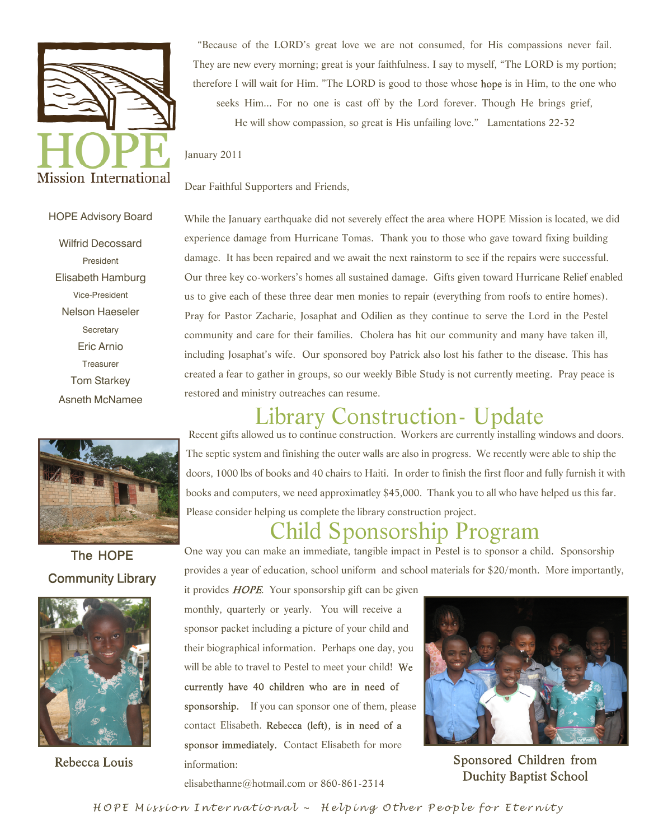

"Because of the LORD's great love we are not consumed, for His compassions never fail. They are new every morning; great is your faithfulness. I say to myself, "The LORD is my portion; therefore I will wait for Him. "The LORD is good to those whose is in Him, to the one who seeks Him... For no one is cast off by the Lord forever. Though He brings grief, He will show compassion, so great is His unfailing love." Lamentations 22-32

January 2011

Dear Faithful Supporters and Friends,

#### HOPE Advisory Board

Wilfrid Decossard President Elisabeth Hamburg Vice-President Nelson Haeseler **Secretary** Eric Arnio **Treasurer** Tom Starkey Asneth McNamee



The HOPE **Community Library** 



Rebecca Louis

While the January earthquake did not severely effect the area where HOPE Mission is located, we did experience damage from Hurricane Tomas. Thank you to those who gave toward fixing building damage. It has been repaired and we await the next rainstorm to see if the repairs were successful. Our three key co-workers's homes all sustained damage. Gifts given toward Hurricane Relief enabled us to give each of these three dear men monies to repair (everything from roofs to entire homes). Pray for Pastor Zacharie, Josaphat and Odilien as they continue to serve the Lord in the Pestel community and care for their families. Cholera has hit our community and many have taken ill, including Josaphat's wife. Our sponsored boy Patrick also lost his father to the disease. This has created a fear to gather in groups, so our weekly Bible Study is not currently meeting. Pray peace is restored and ministry outreaches can resume.

# Library Construction- Update

 Recent gifts allowed us to continue construction. Workers are currently installing windows and doors. The septic system and finishing the outer walls are also in progress. We recently were able to ship the doors, 1000 lbs of books and 40 chairs to Haiti. In order to finish the first floor and fully furnish it with books and computers, we need approximatley \$45,000. Thank you to all who have helped us this far. Please consider helping us complete the library construction project.

## Child Sponsorship Program

One way you can make an immediate, tangible impact in Pestel is to sponsor a child. Sponsorship provides a year of education, school uniform and school materials for \$20/month. More importantly,

it provides  $HOPE$ . Your sponsorship gift can be given monthly, quarterly or yearly. You will receive a sponsor packet including a picture of your child and their biographical information. Perhaps one day, you will be able to travel to Pestel to meet your child! We currently have 40 children who are in need of sponsorship. If you can sponsor one of them, please contact Elisabeth. Rebecca (left), is in need of a sponsor immediately. Contact Elisabeth for more information:

Sponsored Children from **Duchity Baptist School** 

elisabethanne@hotmail.com or 860-861-2314

HOPE Mission International ~ Helping Other People for Eternity